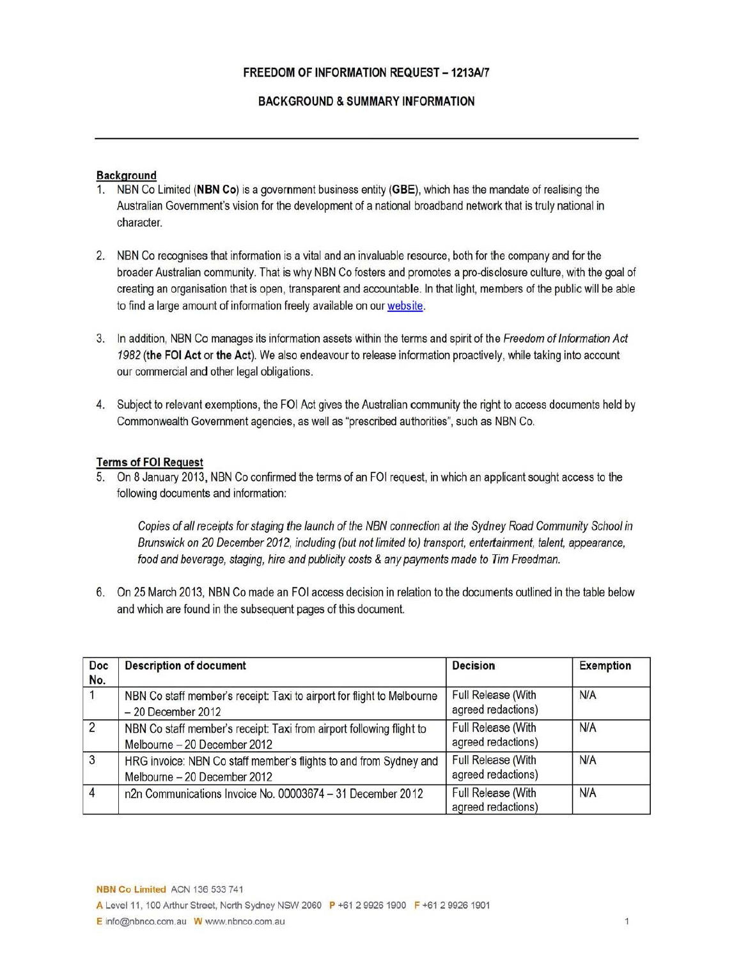## BACKGROUND & SUMMARY INFORMATION

### **Background**

- NBN Co Limited (NBN Co) is a government business entity (GBE), which has the mandate of realising the Australian Government's vision for the development of a national broadband network that is truly national in character.
- 2. NBN Co recognises that information is a vital and an invaluable resource, both for the company and for the broader Australian community. That is why NBN Co fosters and promotes a pro-disclosure culture, with the goal of creating an organisation that is open, transparent and accountable. In that light, members of the public will be able to find a large amount of information freely available on our website.
- 3. In addition, NBN Co manages its information assets within the terms and spirit of the Freedom of Information Act 1982 (the FOI Act or the Act). We also endeavour to release information proactively, while taking into account our commercial and other legal obligations.
- 4. Subject to relevant exemptions, the FOI Act gives the Australian community the right to access documents held by Commonwealth Government agencies, as well as "prescribed authorities", such as NBN Co.

### Terms of FOI Request

5. On 8 January 2013, NBN Co confirmed the terms of an FOI request, in which an applicant sought access to the following documents and information:

Copies of all receipts for staging the launch of the NBN connection at the Sydney Road Community School in Brunswick on 20 December 2012, including (but not limited to) transport, entertainment, talent, appearance, food and beverage, staging, hire and publicity costs & any payments made to Tim Freedman.

6. On 25 March 2013, NBN Co made an FOI access decision in relation to the documents outlined in the table below and which are found in the subsequent pages of this document.

| Doc<br>No.     | <b>Description of document</b>                                                                       | <b>Decision</b>                                 | Exemption |
|----------------|------------------------------------------------------------------------------------------------------|-------------------------------------------------|-----------|
|                | NBN Co staff member's receipt: Taxi to airport for flight to Melbourne<br>$-20$ December 2012        | Full Release (With<br>agreed redactions)        | N/A       |
| $\overline{2}$ | NBN Co staff member's receipt: Taxi from airport following flight to<br>Melbourne - 20 December 2012 | <b>Full Release (With</b><br>agreed redactions) | N/A       |
| $\sqrt{3}$     | HRG invoice: NBN Co staff member's flights to and from Sydney and<br>Melbourne - 20 December 2012    | Full Release (With<br>agreed redactions)        | N/A       |
| $\overline{4}$ | n2n Communications Invoice No. 00003674 - 31 December 2012                                           | Full Release (With<br>agreed redactions)        | N/A       |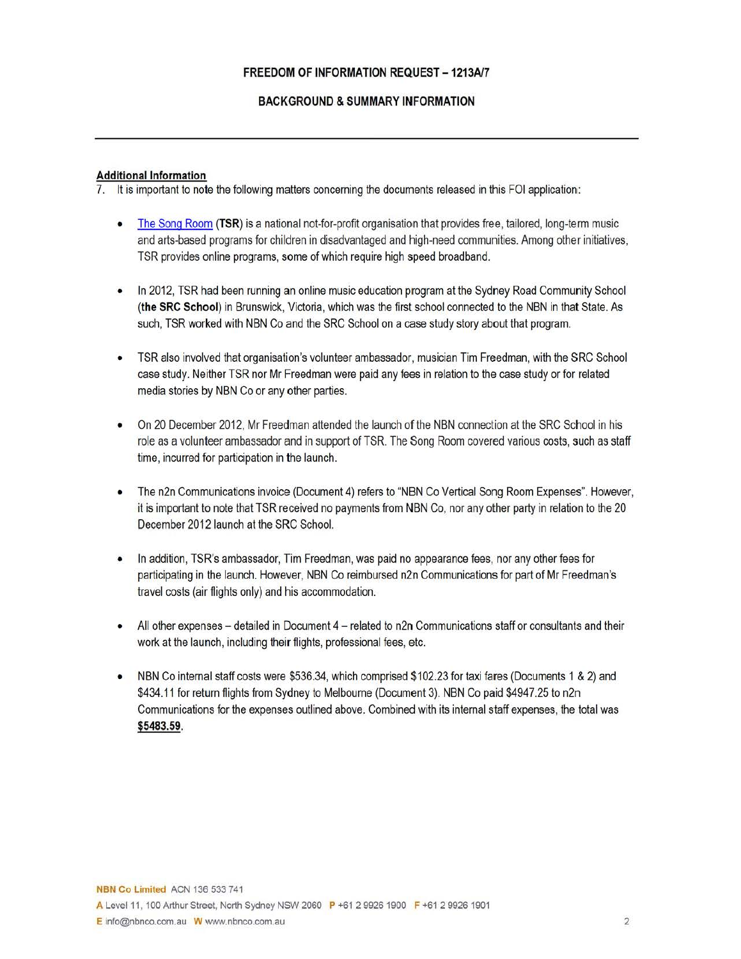# **FREEDOM OF INFORMATION REQUEST - 1213A/7**

# **BACKGROUND & SUMMARY INFORMATION**

# **Additional Information**

7. It is important to note the following matters concerning the documents released in this FOI application:

- The Song Room (TSR) is a national not-for-profit organisation that provides free, tailored, long-term music and arts-based programs for children in disadvantaged and high-need communities. Among other initiatives, TSR provides online programs, some of which require high speed broadband.
- In 2012, TSR had been running an online music education program at the Sydney Road Community School **(the SRC School)** in Brunswick, Victoria, which was the first school connected to the NBN in that State. As such, TSR worked with NBN Co and the SRC School on a case study story about that program.
- TSR also involved that organisation's volunteer ambassador, musician Tim Freedman, with the SRC School case study. Neither TSR nor Mr Freedman were paid any fees in relation to the case study or for related media stories by NBN Co or any other parties.
- On 20 December 2012, Mr Freedman attended the launch of the NBN connection at the SRC School in his role as a volunteer ambassador and in support of TSR. The Song Room covered various costs, such as staff time, incurred for participation in the launch.
- The n2n Communications invoice (Document 4) refers to "NBN Co Vertical Song Room Expenses". However, it is important to note that TSR received no payments from NBN Co, nor any other party in relation to the 20 December 2012 launch at the SRC School.
- In addition, TSR's ambassador, Tim Freedman, was paid no appearance fees, nor any other fees for participating in the launch. However, NBN Co reimbursed n2n Communications for part of Mr Freedman's travel costs (air flights only) and his accommodation.
- All other expenses detailed in Document 4 related to n2n Communications staff or consultants and their work at the launch, including their flights, professional fees, etc.
- NBN Co internal staff costs were \$536.34, which comprised \$102.23 for taxi fares (Documents 1 & 2) and \$434.11 for return flights from Sydney to Melbourne (Document 3). NBN Co paid \$4947.25 to n2n Communications for the expenses outlined above. Combined with its internal staff expenses, the total was **\$5483.59.**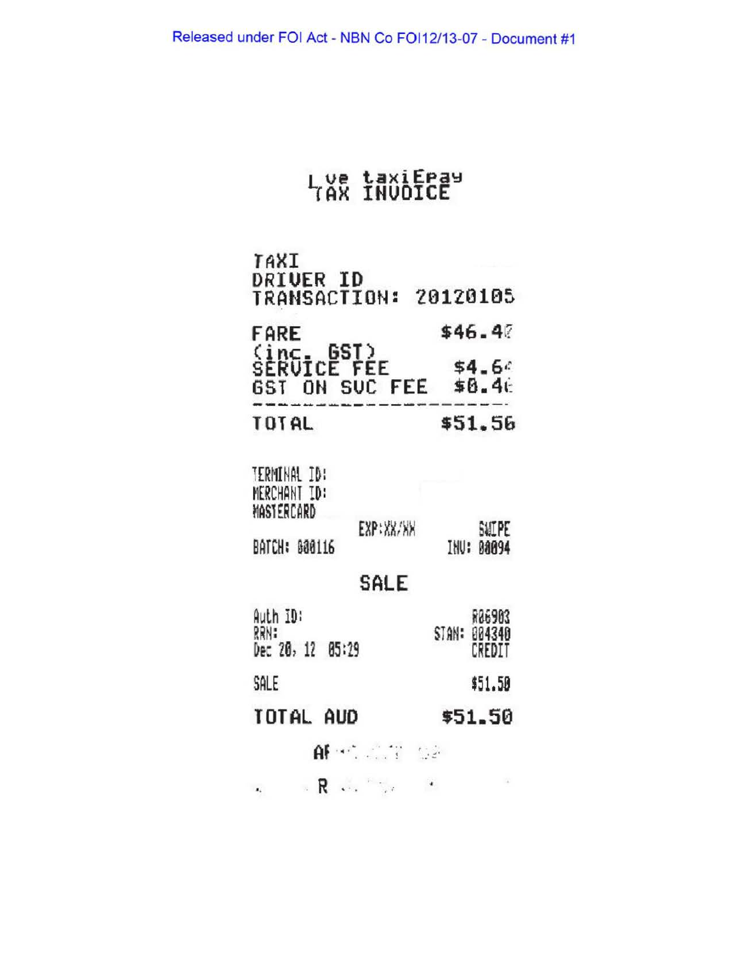# Lye taxiEray

| TAXI<br><b>DRIVER ID</b><br><b>TRANSACTION: 20120105</b>                  |                                     |
|---------------------------------------------------------------------------|-------------------------------------|
| <b>FARE</b><br>(inc. GST)<br>SERUICE FEE<br>GST ON SUC FEE \$8.46         | \$46.40<br>\$4.6c                   |
| <b>TOTAL</b>                                                              | \$51.56                             |
| TERMINAL ID:<br>MERCHANT ID:<br>MASTERCARD<br>EXP: XX/XX<br>BATCH: 880116 | SWEPE<br>88094<br>INU:              |
| SALE                                                                      |                                     |
| Auth ID:<br>RRN:<br>Dec 20, 12<br>85:29                                   | R06903<br>004340<br>STAN:<br>CREDIT |
| SALE                                                                      | \$51.50                             |
| TOTAL AUD                                                                 | \$51.50                             |
| $\mathsf{AF} \oplus \mathbb{Z} \oplus \mathbb{Z}$                         |                                     |
| $R$ . The $R$<br>$\mathbf{a}_k$                                           |                                     |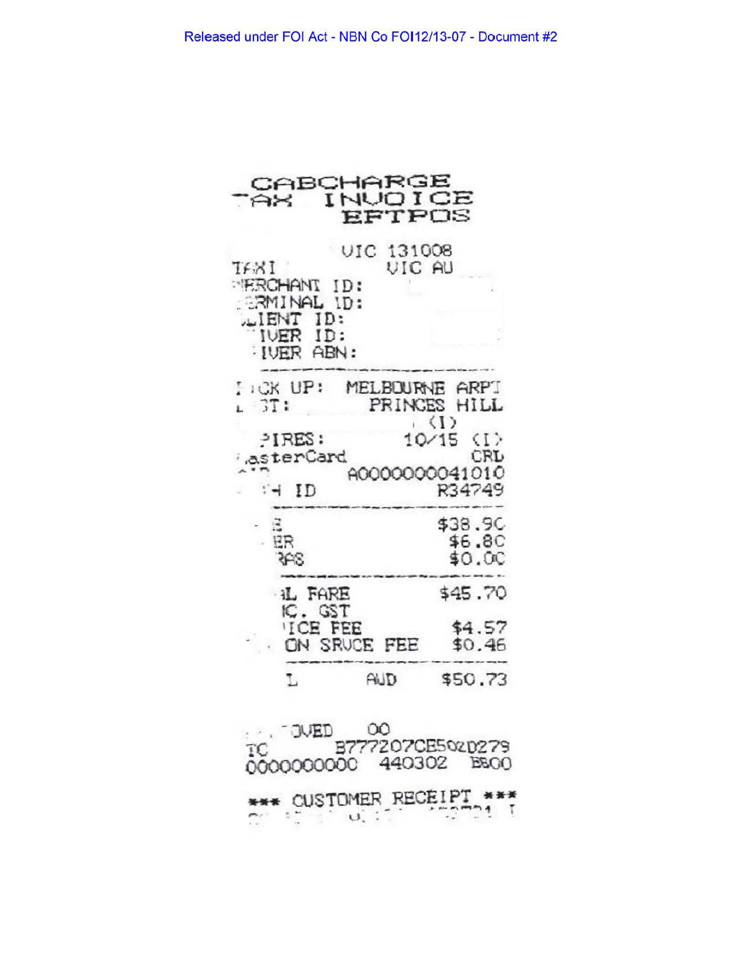| CABCHARGE<br>AX                                                                                      | INUOICE<br>EFTPOS                                                                    |
|------------------------------------------------------------------------------------------------------|--------------------------------------------------------------------------------------|
| UIC<br>TEXI<br><b>FROHANT ID:</b><br><b>ERMINAL ID:</b><br>LIENT ID:<br>IVER ID:<br><b>IVER ABN:</b> | 131008<br>VIC AU                                                                     |
| $L$ CK UP:<br>$-3T$ :<br>$-1RES$ :<br>asterCard<br>AID                                               | MELBOURNE ARPI<br>PRINCES HILL<br>(D<br>10/15 (I)<br>CRL<br>A0000000041010<br>R34749 |
| $ BB$<br>348                                                                                         | \$38.9C<br>\$6.8C<br>\$0.00                                                          |
| <b>IL FARE</b><br>IC. GST<br><b>ICE FEE</b><br>ON SRUCE                                              | \$45.70<br>\$4.57<br>\$0.46<br>FEE                                                   |

\$50.73

| ŦС | <b>DUED</b><br>0000000000 440302 B&OO | $\Omega$<br>B777207CE50zD279 |  |
|----|---------------------------------------|------------------------------|--|
|    | *** CUSTOMER RECEIPT ***              |                              |  |

 $AUD$ 

L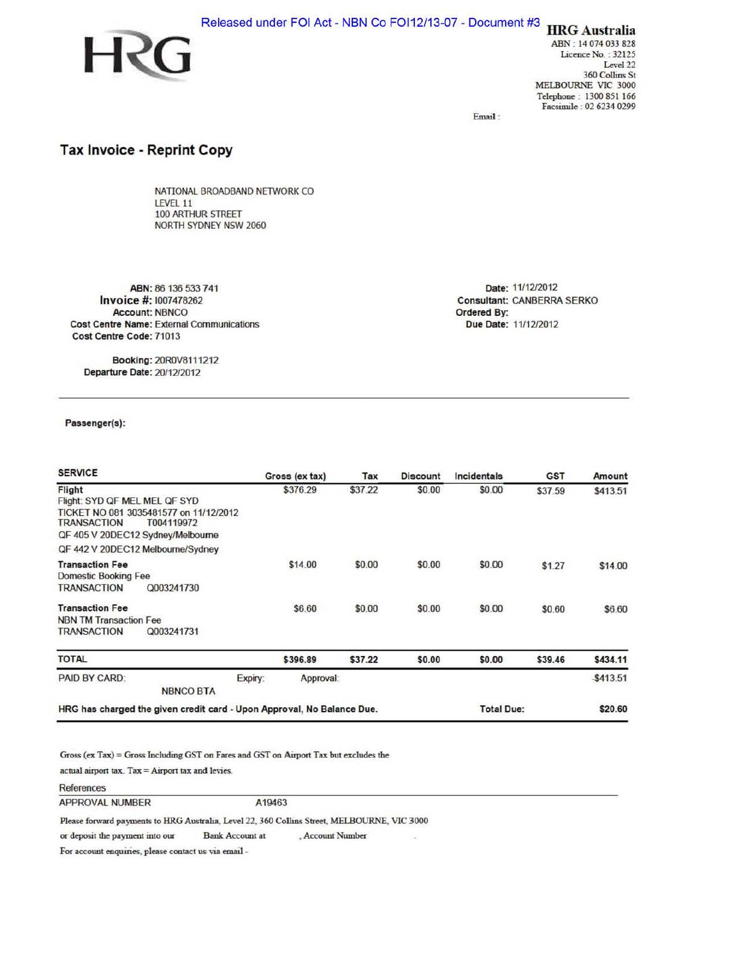



ABN : 14 074 033 828 Licence No.: 32125 Level 22 360 Collins St MELBOURNE VIC 3000 Telephone : 1300 851 166 Facsimile : 02 6234 0299

Email :

# Tax Invoice - Reprint Copy

NATIONAL BROADBAND NETWORK CO LEVEL 11 100 ARTHUR STREET NORTH SYDNEY NSW 2060

ABN: 86 136 533 741 Invoice#: 1007478262 Account: NBNCO Cost Centre Name: External Communications Cost Centre Code: 71013

Date: 11/12/2012 Consultant: CANBERRA SERKO Ordered By: Due Date: 11/12/2012

Booking: 20ROV811 1212 Departure Date: 20/12/2012

### Passenger(s):

| <b>SERVICE</b>                                                                                                                                                                           |                                                                        | Gross (ex tax)       | Tax     | <b>Discount</b> | Incidentals       | <b>GST</b> | Amount       |
|------------------------------------------------------------------------------------------------------------------------------------------------------------------------------------------|------------------------------------------------------------------------|----------------------|---------|-----------------|-------------------|------------|--------------|
| Flight<br>Flight: SYD QF MEL MEL QF SYD<br>TICKET NO 081 3035481577 on 11/12/2012<br>TRANSACTION<br>T004119972<br>QF 405 V 20DEC12 Sydney/Melbourne<br>QF 442 V 20DEC12 Melbourne/Sydney |                                                                        | \$376.29             | \$37.22 | \$0.00          | \$0.00            | \$37.59    | \$413.51     |
| <b>Transaction Fee</b><br>Domestic Booking Fee<br><b>TRANSACTION</b>                                                                                                                     | Q003241730                                                             | \$14.00              | \$0.00  | \$0.00          | \$0.00            | \$1.27     | \$14.00      |
| <b>Transaction Fee</b><br><b>NBN TM Transaction Fee</b><br><b>TRANSACTION</b>                                                                                                            | Q003241731                                                             | \$6.60               | \$0.00  | \$0.00          | \$0.00            | \$0.60     | \$6.60       |
| <b>TOTAL</b>                                                                                                                                                                             |                                                                        | \$396.89             | \$37.22 | \$0.00          | \$0.00            | \$39.46    | \$434.11     |
| PAID BY CARD:                                                                                                                                                                            | <b>NBNCO BTA</b>                                                       | Approval:<br>Expiry: |         |                 |                   |            | $-$ \$413.51 |
|                                                                                                                                                                                          | HRG has charged the given credit card - Upon Approval, No Balance Due. |                      |         |                 | <b>Total Due:</b> |            | \$20.60      |

÷.

Gross (ex Tax)= Gross Including GST on Faces and GST on Airport Tax but excludes the

actual airport tax.  $\text{Tax} = \text{Airport tax}$  and levies.

#### References

APPROVAL NUMBER A19463

Please forward payments to HRG Australia, Level 22, 360 Collins Street, MELBOURNE, VIC 3000

or deposit the payment into our Bank Account at , Account Number

For account enquiries, please contact us via email -